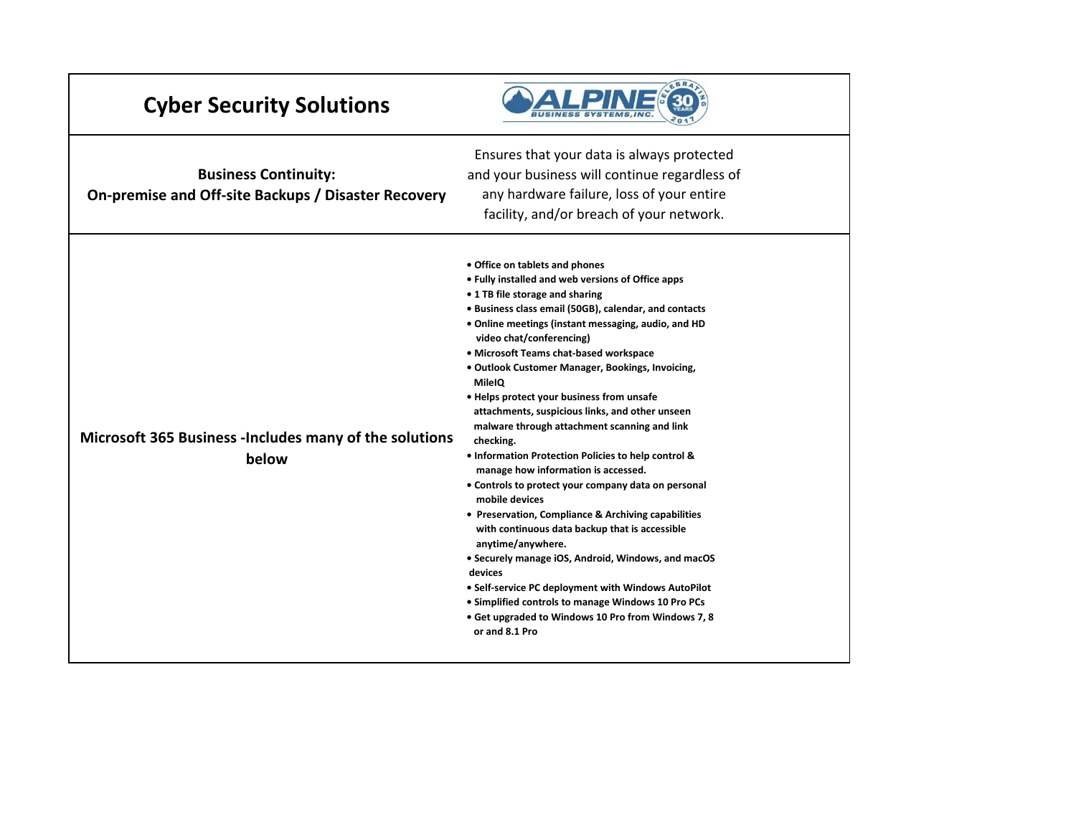| <b>Cyber Security Solutions</b>                                                    |                                                                                                                                                                                                                                                                                                                                                                                                                                                                                                                                                                                                                                                                                                                                                                                                                                                                                                                                                                                                                                                                                                           |
|------------------------------------------------------------------------------------|-----------------------------------------------------------------------------------------------------------------------------------------------------------------------------------------------------------------------------------------------------------------------------------------------------------------------------------------------------------------------------------------------------------------------------------------------------------------------------------------------------------------------------------------------------------------------------------------------------------------------------------------------------------------------------------------------------------------------------------------------------------------------------------------------------------------------------------------------------------------------------------------------------------------------------------------------------------------------------------------------------------------------------------------------------------------------------------------------------------|
| <b>Business Continuity:</b><br>On-premise and Off-site Backups / Disaster Recovery | Ensures that your data is always protected<br>and your business will continue regardless of<br>any hardware failure, loss of your entire<br>facility, and/or breach of your network.                                                                                                                                                                                                                                                                                                                                                                                                                                                                                                                                                                                                                                                                                                                                                                                                                                                                                                                      |
| Microsoft 365 Business - Includes many of the solutions<br>below                   | • Office on tablets and phones<br>• Fully installed and web versions of Office apps<br>• 1 TB file storage and sharing<br>· Business class email (50GB), calendar, and contacts<br>. Online meetings (instant messaging, audio, and HD<br>video chat/conferencing)<br>• Microsoft Teams chat-based workspace<br>. Outlook Customer Manager, Bookings, Invoicing,<br><b>MileIQ</b><br>. Helps protect your business from unsafe<br>attachments, suspicious links, and other unseen<br>malware through attachment scanning and link<br>checking.<br>• Information Protection Policies to help control &<br>manage how information is accessed.<br>• Controls to protect your company data on personal<br>mobile devices<br>• Preservation, Compliance & Archiving capabilities<br>with continuous data backup that is accessible<br>anytime/anywhere.<br>• Securely manage iOS, Android, Windows, and macOS<br>devices<br>. Self-service PC deployment with Windows AutoPilot<br>• Simplified controls to manage Windows 10 Pro PCs<br>• Get upgraded to Windows 10 Pro from Windows 7, 8<br>or and 8.1 Pro |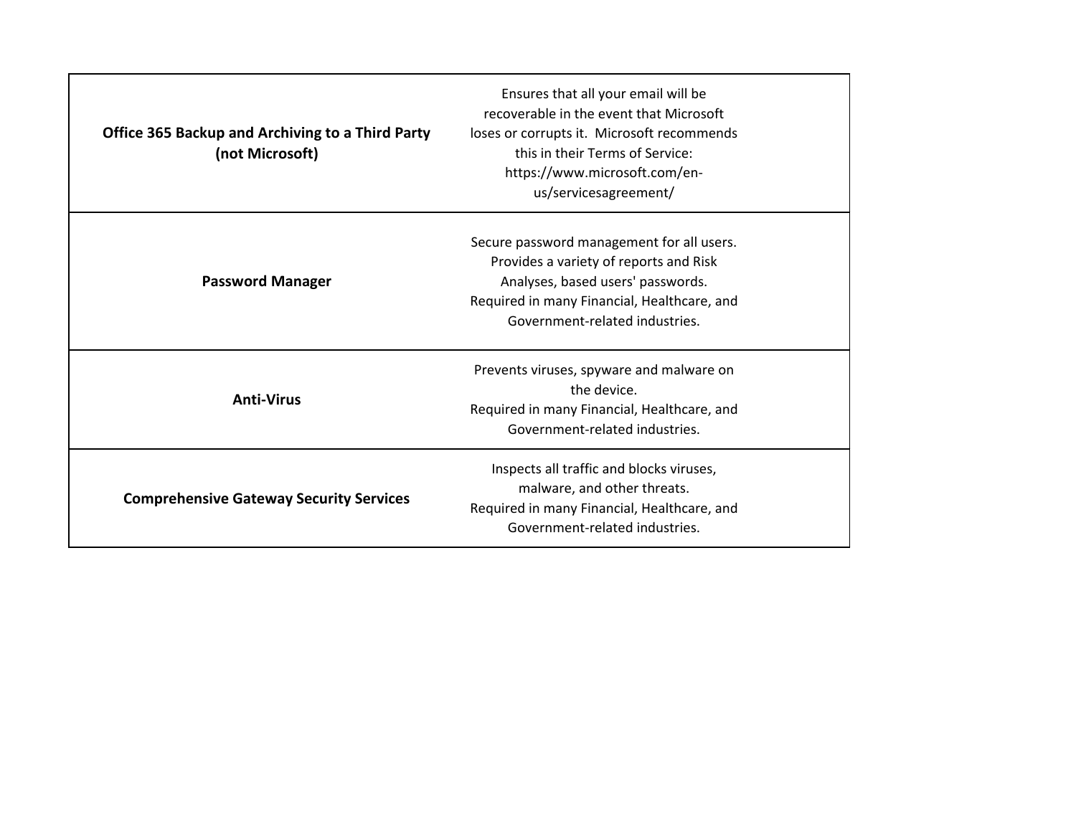| <b>Office 365 Backup and Archiving to a Third Party</b><br>(not Microsoft) | Ensures that all your email will be<br>recoverable in the event that Microsoft<br>loses or corrupts it. Microsoft recommends<br>this in their Terms of Service:<br>https://www.microsoft.com/en-<br>us/servicesagreement/ |
|----------------------------------------------------------------------------|---------------------------------------------------------------------------------------------------------------------------------------------------------------------------------------------------------------------------|
| <b>Password Manager</b>                                                    | Secure password management for all users.<br>Provides a variety of reports and Risk<br>Analyses, based users' passwords.<br>Required in many Financial, Healthcare, and<br>Government-related industries.                 |
| <b>Anti-Virus</b>                                                          | Prevents viruses, spyware and malware on<br>the device.<br>Required in many Financial, Healthcare, and<br>Government-related industries.                                                                                  |
| <b>Comprehensive Gateway Security Services</b>                             | Inspects all traffic and blocks viruses,<br>malware, and other threats.<br>Required in many Financial, Healthcare, and<br>Government-related industries.                                                                  |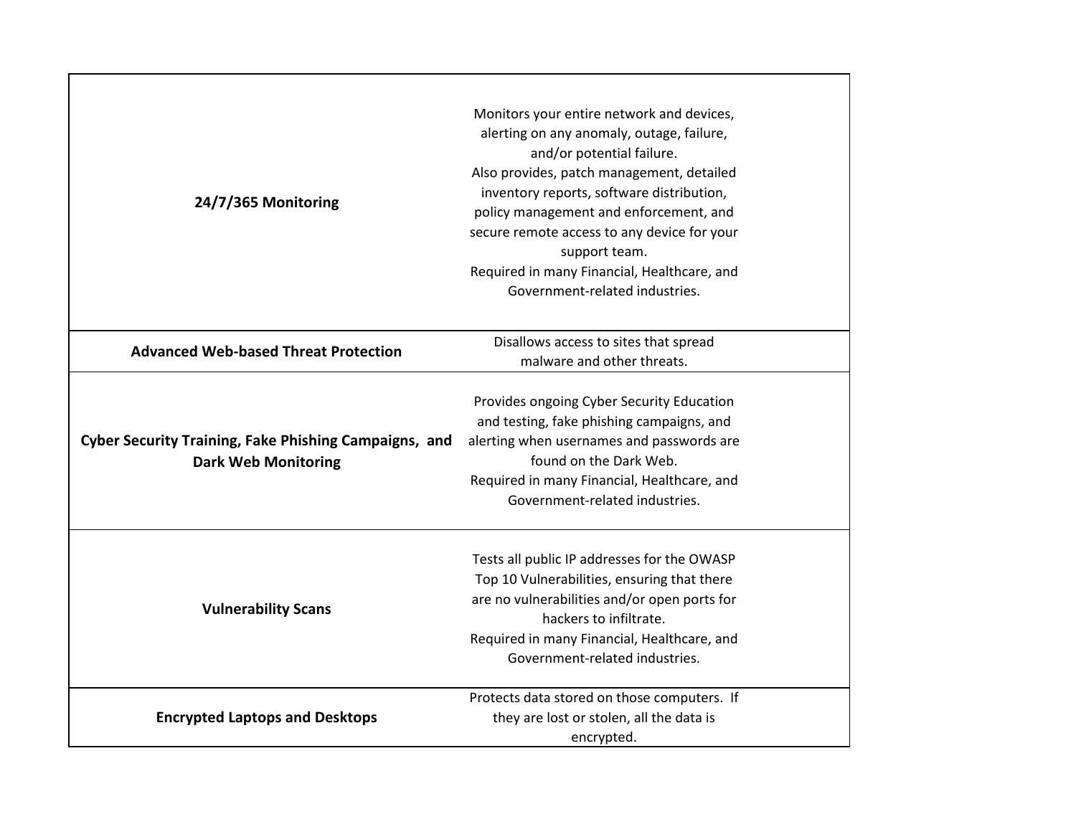| 24/7/365 Monitoring                                                                        | Monitors your entire network and devices,<br>alerting on any anomaly, outage, failure,<br>and/or potential failure.<br>Also provides, patch management, detailed<br>inventory reports, software distribution,<br>policy management and enforcement, and<br>secure remote access to any device for your<br>support team.<br>Required in many Financial, Healthcare, and<br>Government-related industries. |
|--------------------------------------------------------------------------------------------|----------------------------------------------------------------------------------------------------------------------------------------------------------------------------------------------------------------------------------------------------------------------------------------------------------------------------------------------------------------------------------------------------------|
| <b>Advanced Web-based Threat Protection</b>                                                | Disallows access to sites that spread<br>malware and other threats.                                                                                                                                                                                                                                                                                                                                      |
| <b>Cyber Security Training, Fake Phishing Campaigns, and</b><br><b>Dark Web Monitoring</b> | Provides ongoing Cyber Security Education<br>and testing, fake phishing campaigns, and<br>alerting when usernames and passwords are<br>found on the Dark Web.<br>Required in many Financial, Healthcare, and<br>Government-related industries.                                                                                                                                                           |
| <b>Vulnerability Scans</b>                                                                 | Tests all public IP addresses for the OWASP<br>Top 10 Vulnerabilities, ensuring that there<br>are no vulnerabilities and/or open ports for<br>hackers to infiltrate.<br>Required in many Financial, Healthcare, and<br>Government-related industries.                                                                                                                                                    |
| <b>Encrypted Laptops and Desktops</b>                                                      | Protects data stored on those computers. If<br>they are lost or stolen, all the data is<br>encrypted.                                                                                                                                                                                                                                                                                                    |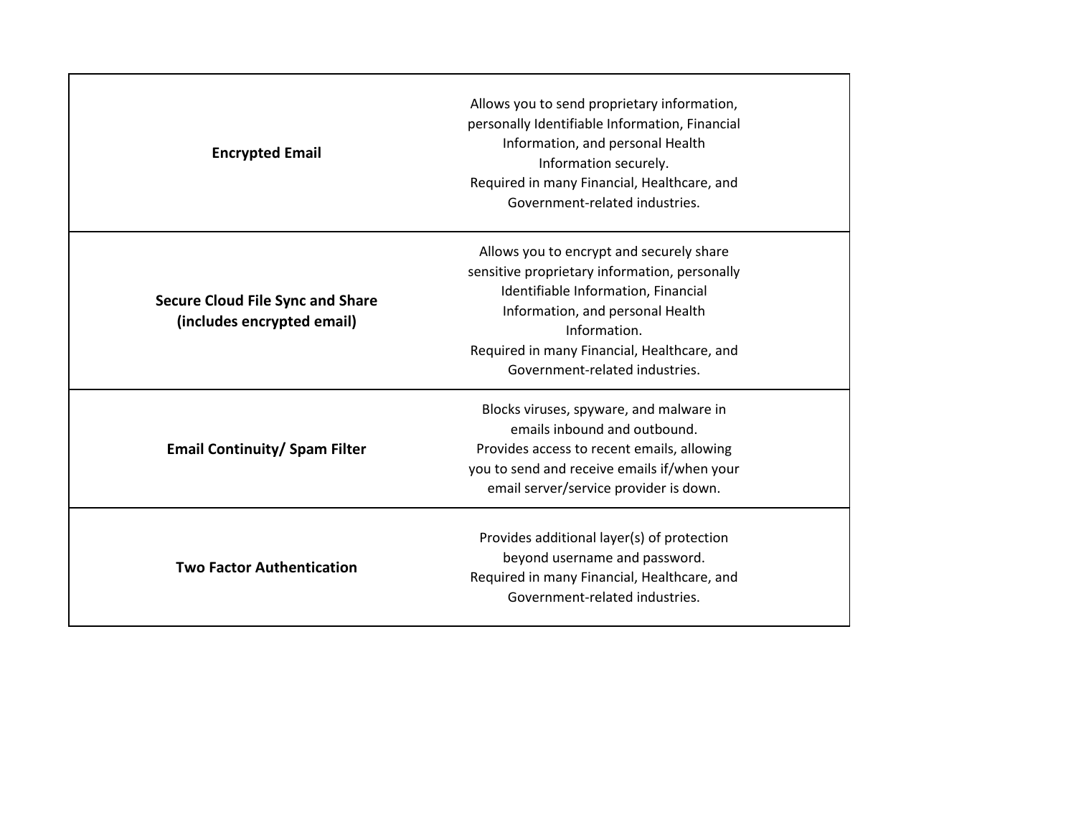| <b>Encrypted Email</b>                                                | Allows you to send proprietary information,<br>personally Identifiable Information, Financial<br>Information, and personal Health<br>Information securely.<br>Required in many Financial, Healthcare, and<br>Government-related industries.                           |
|-----------------------------------------------------------------------|-----------------------------------------------------------------------------------------------------------------------------------------------------------------------------------------------------------------------------------------------------------------------|
| <b>Secure Cloud File Sync and Share</b><br>(includes encrypted email) | Allows you to encrypt and securely share<br>sensitive proprietary information, personally<br>Identifiable Information, Financial<br>Information, and personal Health<br>Information.<br>Required in many Financial, Healthcare, and<br>Government-related industries. |
| <b>Email Continuity/ Spam Filter</b>                                  | Blocks viruses, spyware, and malware in<br>emails inbound and outbound.<br>Provides access to recent emails, allowing<br>you to send and receive emails if/when your<br>email server/service provider is down.                                                        |
| <b>Two Factor Authentication</b>                                      | Provides additional layer(s) of protection<br>beyond username and password.<br>Required in many Financial, Healthcare, and<br>Government-related industries.                                                                                                          |